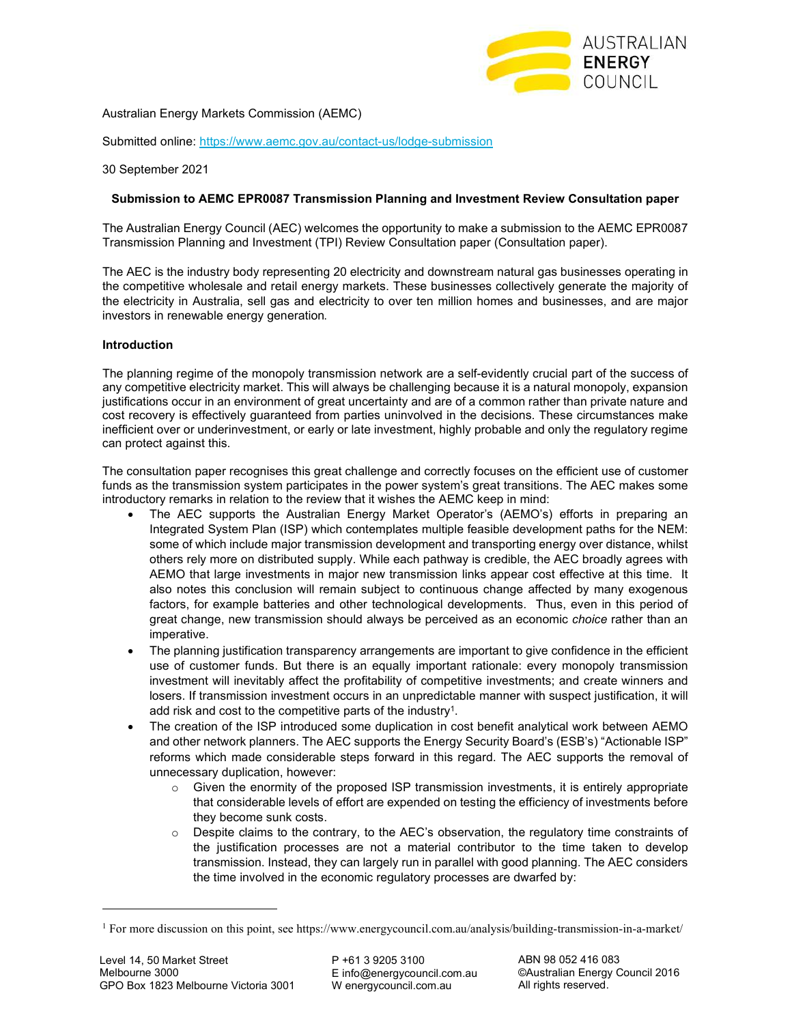

Australian Energy Markets Commission (AEMC)

Submitted online: https://www.aemc.gov.au/contact-us/lodge-submission

30 September 2021

# **Submission to AEMC EPR0087 Transmission Planning and Investment Review Consultation paper**

The Australian Energy Council (AEC) welcomes the opportunity to make a submission to the AEMC EPR0087 Transmission Planning and Investment (TPI) Review Consultation paper (Consultation paper).

The AEC is the industry body representing 20 electricity and downstream natural gas businesses operating in the competitive wholesale and retail energy markets. These businesses collectively generate the majority of the electricity in Australia, sell gas and electricity to over ten million homes and businesses, and are major investors in renewable energy generation.

# **Introduction**

The planning regime of the monopoly transmission network are a self-evidently crucial part of the success of any competitive electricity market. This will always be challenging because it is a natural monopoly, expansion justifications occur in an environment of great uncertainty and are of a common rather than private nature and cost recovery is effectively guaranteed from parties uninvolved in the decisions. These circumstances make inefficient over or underinvestment, or early or late investment, highly probable and only the regulatory regime can protect against this.

The consultation paper recognises this great challenge and correctly focuses on the efficient use of customer funds as the transmission system participates in the power system's great transitions. The AEC makes some introductory remarks in relation to the review that it wishes the AEMC keep in mind:

- The AEC supports the Australian Energy Market Operator's (AEMO's) efforts in preparing an Integrated System Plan (ISP) which contemplates multiple feasible development paths for the NEM: some of which include major transmission development and transporting energy over distance, whilst others rely more on distributed supply. While each pathway is credible, the AEC broadly agrees with AEMO that large investments in major new transmission links appear cost effective at this time. It also notes this conclusion will remain subject to continuous change affected by many exogenous factors, for example batteries and other technological developments. Thus, even in this period of great change, new transmission should always be perceived as an economic *choice* rather than an imperative.
- The planning justification transparency arrangements are important to give confidence in the efficient use of customer funds. But there is an equally important rationale: every monopoly transmission investment will inevitably affect the profitability of competitive investments; and create winners and losers. If transmission investment occurs in an unpredictable manner with suspect justification, it will add risk and cost to the competitive parts of the industry<sup>1</sup>.
- The creation of the ISP introduced some duplication in cost benefit analytical work between AEMO and other network planners. The AEC supports the Energy Security Board's (ESB's) "Actionable ISP" reforms which made considerable steps forward in this regard. The AEC supports the removal of unnecessary duplication, however:
	- $\circ$  Given the enormity of the proposed ISP transmission investments, it is entirely appropriate that considerable levels of effort are expended on testing the efficiency of investments before they become sunk costs.
	- $\circ$  Despite claims to the contrary, to the AEC's observation, the regulatory time constraints of the justification processes are not a material contributor to the time taken to develop transmission. Instead, they can largely run in parallel with good planning. The AEC considers the time involved in the economic regulatory processes are dwarfed by:

<sup>1</sup> For more discussion on this point, see https://www.energycouncil.com.au/analysis/building-transmission-in-a-market/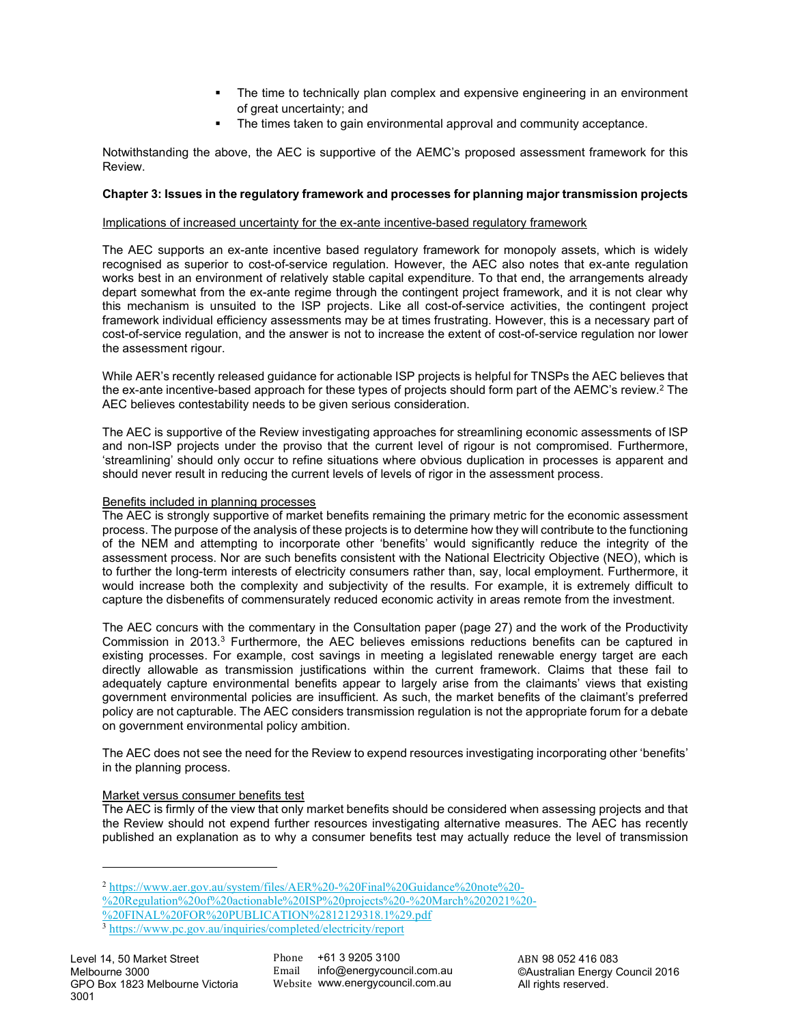- The time to technically plan complex and expensive engineering in an environment of great uncertainty; and
- The times taken to gain environmental approval and community acceptance.

Notwithstanding the above, the AEC is supportive of the AEMC's proposed assessment framework for this Review.

# **Chapter 3: Issues in the regulatory framework and processes for planning major transmission projects**

### Implications of increased uncertainty for the ex-ante incentive-based regulatory framework

The AEC supports an ex-ante incentive based regulatory framework for monopoly assets, which is widely recognised as superior to cost-of-service regulation. However, the AEC also notes that ex-ante regulation works best in an environment of relatively stable capital expenditure. To that end, the arrangements already depart somewhat from the ex-ante regime through the contingent project framework, and it is not clear why this mechanism is unsuited to the ISP projects. Like all cost-of-service activities, the contingent project framework individual efficiency assessments may be at times frustrating. However, this is a necessary part of cost-of-service regulation, and the answer is not to increase the extent of cost-of-service regulation nor lower the assessment rigour.

While AER's recently released guidance for actionable ISP projects is helpful for TNSPs the AEC believes that the ex-ante incentive-based approach for these types of projects should form part of the AEMC's review. 2 The AEC believes contestability needs to be given serious consideration.

The AEC is supportive of the Review investigating approaches for streamlining economic assessments of ISP and non-ISP projects under the proviso that the current level of rigour is not compromised. Furthermore, 'streamlining' should only occur to refine situations where obvious duplication in processes is apparent and should never result in reducing the current levels of levels of rigor in the assessment process.

# Benefits included in planning processes

The AEC is strongly supportive of market benefits remaining the primary metric for the economic assessment process. The purpose of the analysis of these projects is to determine how they will contribute to the functioning of the NEM and attempting to incorporate other 'benefits' would significantly reduce the integrity of the assessment process. Nor are such benefits consistent with the National Electricity Objective (NEO), which is to further the long-term interests of electricity consumers rather than, say, local employment. Furthermore, it would increase both the complexity and subjectivity of the results. For example, it is extremely difficult to capture the disbenefits of commensurately reduced economic activity in areas remote from the investment.

The AEC concurs with the commentary in the Consultation paper (page 27) and the work of the Productivity Commission in 2013.<sup>3</sup> Furthermore, the AEC believes emissions reductions benefits can be captured in existing processes. For example, cost savings in meeting a legislated renewable energy target are each directly allowable as transmission justifications within the current framework. Claims that these fail to adequately capture environmental benefits appear to largely arise from the claimants' views that existing government environmental policies are insufficient. As such, the market benefits of the claimant's preferred policy are not capturable. The AEC considers transmission regulation is not the appropriate forum for a debate on government environmental policy ambition.

The AEC does not see the need for the Review to expend resources investigating incorporating other 'benefits' in the planning process.

### Market versus consumer benefits test

The AEC is firmly of the view that only market benefits should be considered when assessing projects and that the Review should not expend further resources investigating alternative measures. The AEC has recently published an explanation as to why a consumer benefits test may actually reduce the level of transmission

<sup>2</sup> https://www.aer.gov.au/system/files/AER%20-%20Final%20Guidance%20note%20-

<sup>%20</sup>Regulation%20of%20actionable%20ISP%20projects%20-%20March%202021%20-

<sup>%20</sup>FINAL%20FOR%20PUBLICATION%2812129318.1%29.pdf

<sup>3</sup> https://www.pc.gov.au/inquiries/completed/electricity/report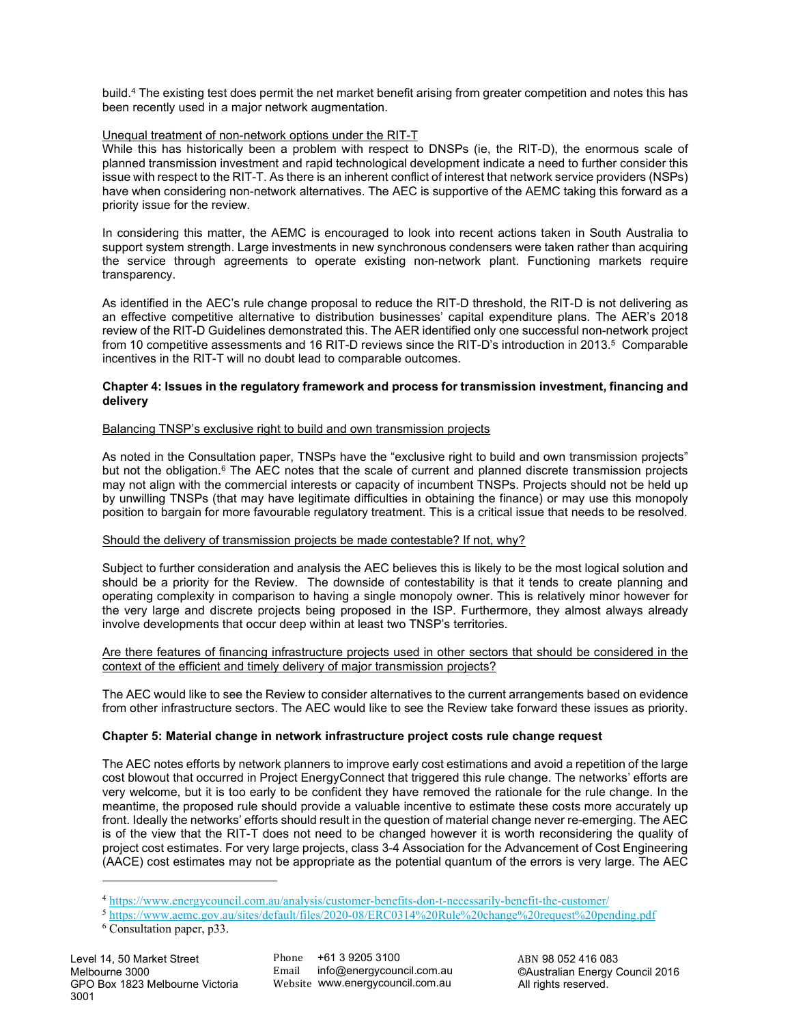build.<sup>4</sup> The existing test does permit the net market benefit arising from greater competition and notes this has been recently used in a major network augmentation.

# Unequal treatment of non-network options under the RIT-T

While this has historically been a problem with respect to DNSPs (ie, the RIT-D), the enormous scale of planned transmission investment and rapid technological development indicate a need to further consider this issue with respect to the RIT-T. As there is an inherent conflict of interest that network service providers (NSPs) have when considering non-network alternatives. The AEC is supportive of the AEMC taking this forward as a priority issue for the review.

In considering this matter, the AEMC is encouraged to look into recent actions taken in South Australia to support system strength. Large investments in new synchronous condensers were taken rather than acquiring the service through agreements to operate existing non-network plant. Functioning markets require transparency.

As identified in the AEC's rule change proposal to reduce the RIT-D threshold, the RIT-D is not delivering as an effective competitive alternative to distribution businesses' capital expenditure plans. The AER's 2018 review of the RIT-D Guidelines demonstrated this. The AER identified only one successful non-network project from 10 competitive assessments and 16 RIT-D reviews since the RIT-D's introduction in 2013.<sup>5</sup> Comparable incentives in the RIT-T will no doubt lead to comparable outcomes.

### **Chapter 4: Issues in the regulatory framework and process for transmission investment, financing and delivery**

### Balancing TNSP's exclusive right to build and own transmission projects

As noted in the Consultation paper, TNSPs have the "exclusive right to build and own transmission projects" but not the obligation.<sup>6</sup> The AEC notes that the scale of current and planned discrete transmission projects may not align with the commercial interests or capacity of incumbent TNSPs. Projects should not be held up by unwilling TNSPs (that may have legitimate difficulties in obtaining the finance) or may use this monopoly position to bargain for more favourable regulatory treatment. This is a critical issue that needs to be resolved.

### Should the delivery of transmission projects be made contestable? If not, why?

Subject to further consideration and analysis the AEC believes this is likely to be the most logical solution and should be a priority for the Review. The downside of contestability is that it tends to create planning and operating complexity in comparison to having a single monopoly owner. This is relatively minor however for the very large and discrete projects being proposed in the ISP. Furthermore, they almost always already involve developments that occur deep within at least two TNSP's territories.

### Are there features of financing infrastructure projects used in other sectors that should be considered in the context of the efficient and timely delivery of major transmission projects?

The AEC would like to see the Review to consider alternatives to the current arrangements based on evidence from other infrastructure sectors. The AEC would like to see the Review take forward these issues as priority.

### **Chapter 5: Material change in network infrastructure project costs rule change request**

The AEC notes efforts by network planners to improve early cost estimations and avoid a repetition of the large cost blowout that occurred in Project EnergyConnect that triggered this rule change. The networks' efforts are very welcome, but it is too early to be confident they have removed the rationale for the rule change. In the meantime, the proposed rule should provide a valuable incentive to estimate these costs more accurately up front. Ideally the networks' efforts should result in the question of material change never re-emerging. The AEC is of the view that the RIT-T does not need to be changed however it is worth reconsidering the quality of project cost estimates. For very large projects, class 3-4 Association for the Advancement of Cost Engineering (AACE) cost estimates may not be appropriate as the potential quantum of the errors is very large. The AEC

<sup>4</sup> https://www.energycouncil.com.au/analysis/customer-benefits-don-t-necessarily-benefit-the-customer/

<sup>5</sup> https://www.aemc.gov.au/sites/default/files/2020-08/ERC0314%20Rule%20change%20request%20pending.pdf

<sup>6</sup> Consultation paper, p33.